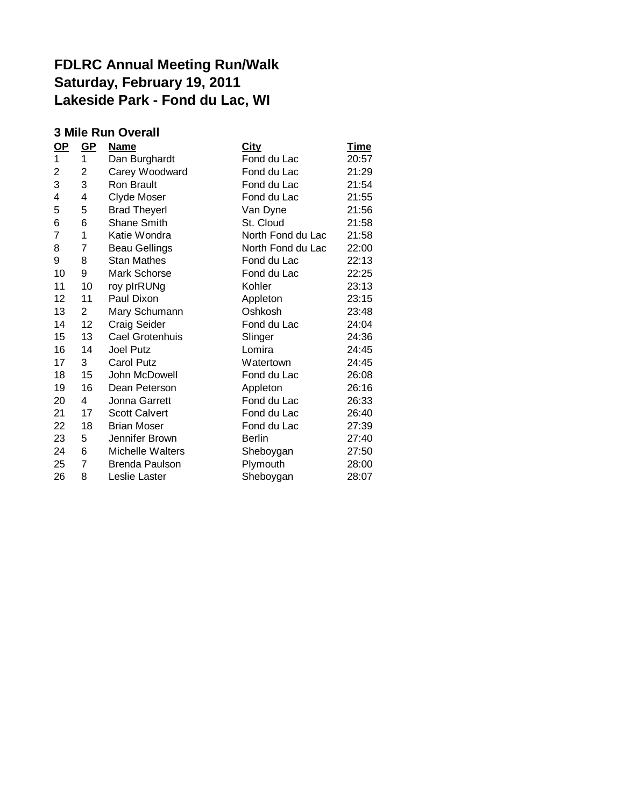## **FDLRC Annual Meeting Run/Walk Saturday, February 19, 2011 Lakeside Park - Fond du Lac, WI**

## **3 Mile Run Overall**

| <u>OP</u>      | <u>GP</u>      | <b>Name</b>           | <u>City</u>       | <b>Time</b> |
|----------------|----------------|-----------------------|-------------------|-------------|
| 1              | 1              | Dan Burghardt         | Fond du Lac       | 20:57       |
| 2              | 2              | Carey Woodward        | Fond du Lac       | 21:29       |
| 3              | 3              | Ron Brault            | Fond du Lac       | 21:54       |
| 4              | 4              | Clyde Moser           | Fond du Lac       | 21:55       |
| 5              | 5              | <b>Brad Theyerl</b>   | Van Dyne          | 21:56       |
| 6              | 6              | <b>Shane Smith</b>    | St. Cloud         | 21:58       |
| $\overline{7}$ | 1              | Katie Wondra          | North Fond du Lac | 21:58       |
| 8              | 7              | <b>Beau Gellings</b>  | North Fond du Lac | 22:00       |
| 9              | 8              | <b>Stan Mathes</b>    | Fond du Lac       | 22:13       |
| 10             | 9              | Mark Schorse          | Fond du Lac       | 22:25       |
| 11             | 10             | roy plrRUNg           | Kohler            | 23:13       |
| 12             | 11             | Paul Dixon            | Appleton          | 23:15       |
| 13             | $\overline{2}$ | Mary Schumann         | Oshkosh           | 23:48       |
| 14             | 12             | <b>Craig Seider</b>   | Fond du Lac       | 24:04       |
| 15             | 13             | Cael Grotenhuis       | Slinger           | 24:36       |
| 16             | 14             | <b>Joel Putz</b>      | Lomira            | 24:45       |
| 17             | 3              | <b>Carol Putz</b>     | Watertown         | 24:45       |
| 18             | 15             | John McDowell         | Fond du Lac       | 26:08       |
| 19             | 16             | Dean Peterson         | Appleton          | 26:16       |
| 20             | 4              | Jonna Garrett         | Fond du Lac       | 26:33       |
| 21             | 17             | <b>Scott Calvert</b>  | Fond du Lac       | 26:40       |
| 22             | 18             | <b>Brian Moser</b>    | Fond du Lac       | 27:39       |
| 23             | 5              | Jennifer Brown        | <b>Berlin</b>     | 27:40       |
| 24             | 6              | Michelle Walters      | Sheboygan         | 27:50       |
| 25             | $\overline{7}$ | <b>Brenda Paulson</b> | Plymouth          | 28:00       |
| 26             | 8              | Leslie Laster         | Sheboygan         | 28:07       |